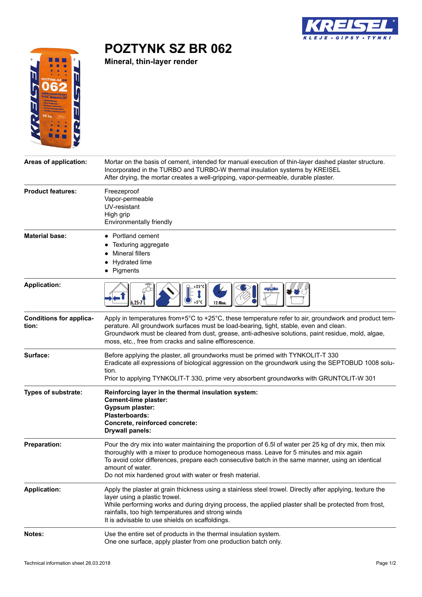

## **POZTYNK SZ BR 062**

**Mineral, thin-layer render**



| Areas of application:                   | Mortar on the basis of cement, intended for manual execution of thin-layer dashed plaster structure.<br>Incorporated in the TURBO and TURBO-W thermal insulation systems by KREISEL<br>After drying, the mortar creates a well-gripping, vapor-permeable, durable plaster.                                                                                                           |
|-----------------------------------------|--------------------------------------------------------------------------------------------------------------------------------------------------------------------------------------------------------------------------------------------------------------------------------------------------------------------------------------------------------------------------------------|
| <b>Product features:</b>                | Freezeproof<br>Vapor-permeable<br>UV-resistant<br>High grip<br>Environmentally friendly                                                                                                                                                                                                                                                                                              |
| <b>Material base:</b>                   | Portland cement<br>Texturing aggregate<br><b>Mineral fillers</b><br>Hydrated lime<br>Pigments                                                                                                                                                                                                                                                                                        |
| <b>Application:</b>                     | 6.25-7<br>12 Mon                                                                                                                                                                                                                                                                                                                                                                     |
| <b>Conditions for applica-</b><br>tion: | Apply in temperatures from+5°C to +25°C, these temperature refer to air, groundwork and product tem-<br>perature. All groundwork surfaces must be load-bearing, tight, stable, even and clean.<br>Groundwork must be cleared from dust, grease, anti-adhesive solutions, paint residue, mold, algae,<br>moss, etc., free from cracks and saline efflorescence.                       |
| Surface:                                | Before applying the plaster, all groundworks must be primed with TYNKOLIT-T 330<br>Eradicate all expressions of biological aggression on the groundwork using the SEPTOBUD 1008 solu-<br>tion.<br>Prior to applying TYNKOLIT-T 330, prime very absorbent groundworks with GRUNTOLIT-W 301                                                                                            |
| <b>Types of substrate:</b>              | Reinforcing layer in the thermal insulation system:<br><b>Cement-lime plaster:</b><br><b>Gypsum plaster:</b><br><b>Plasterboards:</b><br>Concrete, reinforced concrete:<br><b>Drywall panels:</b>                                                                                                                                                                                    |
| <b>Preparation:</b>                     | Pour the dry mix into water maintaining the proportion of 6.5l of water per 25 kg of dry mix, then mix<br>thoroughly with a mixer to produce homogeneous mass. Leave for 5 minutes and mix again<br>To avoid color differences, prepare each consecutive batch in the same manner, using an identical<br>amount of water.<br>Do not mix hardened grout with water or fresh material. |
| <b>Application:</b>                     | Apply the plaster at grain thickness using a stainless steel trowel. Directly after applying, texture the<br>layer using a plastic trowel.<br>While performing works and during drying process, the applied plaster shall be protected from frost,<br>rainfalls, too high temperatures and strong winds<br>It is advisable to use shields on scaffoldings.                           |
| Notes:                                  | Use the entire set of products in the thermal insulation system.<br>One one surface, apply plaster from one production batch only.                                                                                                                                                                                                                                                   |